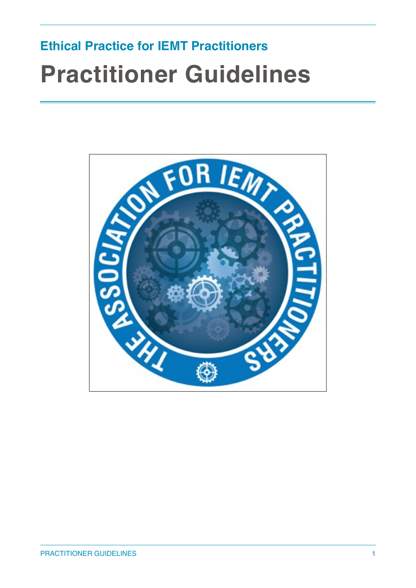## **Ethical Practice for IEMT Practitioners Practitioner Guidelines**

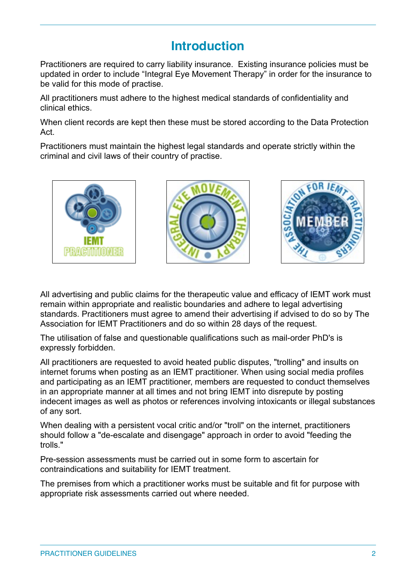## **Introduction**

Practitioners are required to carry liability insurance. Existing insurance policies must be updated in order to include "Integral Eye Movement Therapy" in order for the insurance to be valid for this mode of practise.

All practitioners must adhere to the highest medical standards of confidentiality and clinical ethics.

When client records are kept then these must be stored according to the Data Protection Act.

Practitioners must maintain the highest legal standards and operate strictly within the criminal and civil laws of their country of practise.



All advertising and public claims for the therapeutic value and efficacy of IEMT work must remain within appropriate and realistic boundaries and adhere to legal advertising standards. Practitioners must agree to amend their advertising if advised to do so by The Association for IEMT Practitioners and do so within 28 days of the request.

The utilisation of false and questionable qualifications such as mail-order PhD's is expressly forbidden.

All practitioners are requested to avoid heated public disputes, "trolling" and insults on internet forums when posting as an IEMT practitioner. When using social media profiles and participating as an IEMT practitioner, members are requested to conduct themselves in an appropriate manner at all times and not bring IEMT into disrepute by posting indecent images as well as photos or references involving intoxicants or illegal substances of any sort.

When dealing with a persistent vocal critic and/or "troll" on the internet, practitioners should follow a "de-escalate and disengage" approach in order to avoid "feeding the trolls."

Pre-session assessments must be carried out in some form to ascertain for contraindications and suitability for IEMT treatment.

The premises from which a practitioner works must be suitable and fit for purpose with appropriate risk assessments carried out where needed.